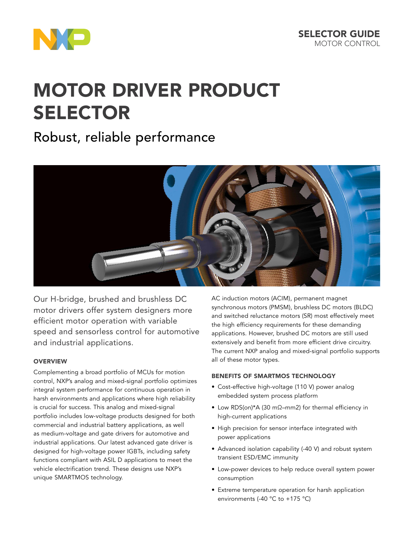

# [MOTOR DRIVER PRODUCT](http://www.nxp.com/products/power-management/engine-and-dc-motor-control/h-bridges:PWRHBRIDGESTEPMTR)  [SELECTOR](http://www.nxp.com/products/power-management/engine-and-dc-motor-control/h-bridges:PWRHBRIDGESTEPMTR)

## Robust, reliable performance



Our H-bridge, brushed and brushless DC motor drivers offer system designers more efficient motor operation with variable speed and sensorless control for automotive and industrial applications.

#### **OVERVIEW**

Complementing a broad portfolio of MCUs for motion control, NXP's analog and mixed-signal portfolio optimizes integral system performance for continuous operation in harsh environments and applications where high reliability is crucial for success. This analog and mixed-signal portfolio includes low-voltage products designed for both commercial and industrial battery applications, as well as medium-voltage and gate drivers for automotive and industrial applications. Our latest advanced gate driver is designed for high-voltage power IGBTs, including safety functions compliant with ASIL D applications to meet the vehicle electrification trend. These designs use NXP's unique SMARTMOS technology.

AC induction motors (ACIM), permanent magnet synchronous motors (PMSM), brushless DC motors (BLDC) and switched reluctance motors (SR) most effectively meet the high efficiency requirements for these demanding applications. However, brushed DC motors are still used extensively and benefit from more efficient drive circuitry. The current NXP analog and mixed-signal portfolio supports all of these motor types.

#### BENEFITS OF SMARTMOS TECHNOLOGY

- Cost-effective high-voltage (110 V) power analog embedded system process platform
- Low RDS(on)\*A (30 mΩ–mm2) for thermal efficiency in high-current applications
- High precision for sensor interface integrated with power applications
- Advanced isolation capability (-40 V) and robust system transient ESD/EMC immunity
- Low-power devices to help reduce overall system power consumption
- Extreme temperature operation for harsh application environments (-40 °C to +175 °C)